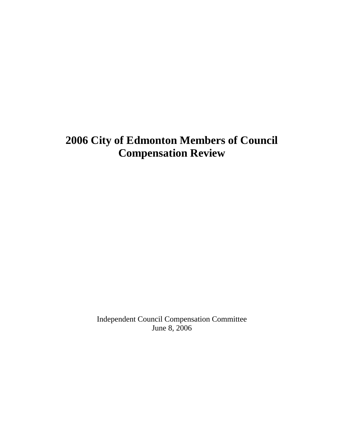# **2006 City of Edmonton Members of Council Compensation Review**

Independent Council Compensation Committee June 8, 2006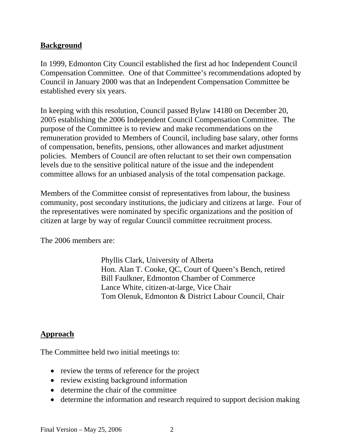## **Background**

In 1999, Edmonton City Council established the first ad hoc Independent Council Compensation Committee. One of that Committee's recommendations adopted by Council in January 2000 was that an Independent Compensation Committee be established every six years.

In keeping with this resolution, Council passed Bylaw 14180 on December 20, 2005 establishing the 2006 Independent Council Compensation Committee. The purpose of the Committee is to review and make recommendations on the remuneration provided to Members of Council, including base salary, other forms of compensation, benefits, pensions, other allowances and market adjustment policies. Members of Council are often reluctant to set their own compensation levels due to the sensitive political nature of the issue and the independent committee allows for an unbiased analysis of the total compensation package.

Members of the Committee consist of representatives from labour, the business community, post secondary institutions, the judiciary and citizens at large. Four of the representatives were nominated by specific organizations and the position of citizen at large by way of regular Council committee recruitment process.

The 2006 members are:

Phyllis Clark, University of Alberta Hon. Alan T. Cooke, QC, Court of Queen's Bench, retired Bill Faulkner, Edmonton Chamber of Commerce Lance White, citizen-at-large, Vice Chair Tom Olenuk, Edmonton & District Labour Council, Chair

#### **Approach**

The Committee held two initial meetings to:

- review the terms of reference for the project
- review existing background information
- determine the chair of the committee
- determine the information and research required to support decision making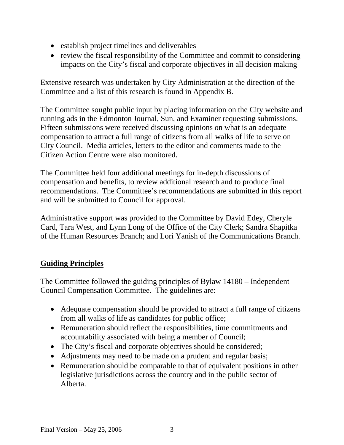- establish project timelines and deliverables
- review the fiscal responsibility of the Committee and commit to considering impacts on the City's fiscal and corporate objectives in all decision making

Extensive research was undertaken by City Administration at the direction of the Committee and a list of this research is found in Appendix B.

The Committee sought public input by placing information on the City website and running ads in the Edmonton Journal, Sun, and Examiner requesting submissions. Fifteen submissions were received discussing opinions on what is an adequate compensation to attract a full range of citizens from all walks of life to serve on City Council. Media articles, letters to the editor and comments made to the Citizen Action Centre were also monitored.

The Committee held four additional meetings for in-depth discussions of compensation and benefits, to review additional research and to produce final recommendations. The Committee's recommendations are submitted in this report and will be submitted to Council for approval.

Administrative support was provided to the Committee by David Edey, Cheryle Card, Tara West, and Lynn Long of the Office of the City Clerk; Sandra Shapitka of the Human Resources Branch; and Lori Yanish of the Communications Branch.

# **Guiding Principles**

The Committee followed the guiding principles of Bylaw 14180 – Independent Council Compensation Committee. The guidelines are:

- Adequate compensation should be provided to attract a full range of citizens from all walks of life as candidates for public office;
- Remuneration should reflect the responsibilities, time commitments and accountability associated with being a member of Council;
- The City's fiscal and corporate objectives should be considered;
- Adjustments may need to be made on a prudent and regular basis;
- Remuneration should be comparable to that of equivalent positions in other legislative jurisdictions across the country and in the public sector of Alberta.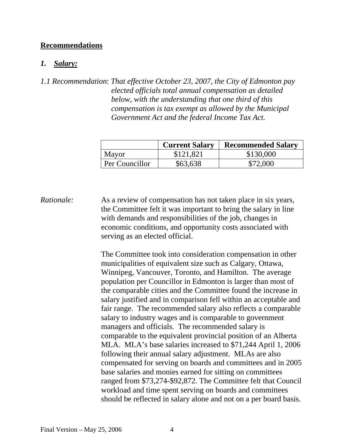#### **Recommendations**

#### *1. Salary:*

*1.1 Recommendation*: *That effective October 23, 2007, the City of Edmonton pay elected officials total annual compensation as detailed below, with the understanding that one third of this compensation is tax exempt as allowed by the Municipal Government Act and the federal Income Tax Act.*

|                | <b>Current Salary</b> | <b>Recommended Salary</b> |
|----------------|-----------------------|---------------------------|
| Mayor          | \$121.821             | \$130,000                 |
| Per Councillor | \$63,638              | \$72,000                  |

*Rationale:* As a review of compensation has not taken place in six years, the Committee felt it was important to bring the salary in line with demands and responsibilities of the job, changes in economic conditions, and opportunity costs associated with serving as an elected official.

> The Committee took into consideration compensation in other municipalities of equivalent size such as Calgary, Ottawa, Winnipeg, Vancouver, Toronto, and Hamilton. The average population per Councillor in Edmonton is larger than most of the comparable cities and the Committee found the increase in salary justified and in comparison fell within an acceptable and fair range. The recommended salary also reflects a comparable salary to industry wages and is comparable to government managers and officials. The recommended salary is comparable to the equivalent provincial position of an Alberta MLA. MLA's base salaries increased to \$71,244 April 1, 2006 following their annual salary adjustment. MLAs are also compensated for serving on boards and committees and in 2005 base salaries and monies earned for sitting on committees ranged from \$73,274-\$92,872. The Committee felt that Council workload and time spent serving on boards and committees should be reflected in salary alone and not on a per board basis.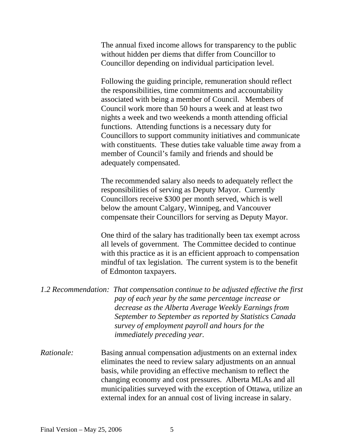The annual fixed income allows for transparency to the public without hidden per diems that differ from Councillor to Councillor depending on individual participation level.

Following the guiding principle, remuneration should reflect the responsibilities, time commitments and accountability associated with being a member of Council. Members of Council work more than 50 hours a week and at least two nights a week and two weekends a month attending official functions. Attending functions is a necessary duty for Councillors to support community initiatives and communicate with constituents. These duties take valuable time away from a member of Council's family and friends and should be adequately compensated.

 The recommended salary also needs to adequately reflect the responsibilities of serving as Deputy Mayor. Currently Councillors receive \$300 per month served, which is well below the amount Calgary, Winnipeg, and Vancouver compensate their Councillors for serving as Deputy Mayor.

 One third of the salary has traditionally been tax exempt across all levels of government. The Committee decided to continue with this practice as it is an efficient approach to compensation mindful of tax legislation. The current system is to the benefit of Edmonton taxpayers.

- *1.2 Recommendation: That compensation continue to be adjusted effective the first pay of each year by the same percentage increase or decrease as the Alberta Average Weekly Earnings from September to September as reported by Statistics Canada survey of employment payroll and hours for the immediately preceding year.*
- *Rationale:* Basing annual compensation adjustments on an external index eliminates the need to review salary adjustments on an annual basis, while providing an effective mechanism to reflect the changing economy and cost pressures. Alberta MLAs and all municipalities surveyed with the exception of Ottawa, utilize an external index for an annual cost of living increase in salary.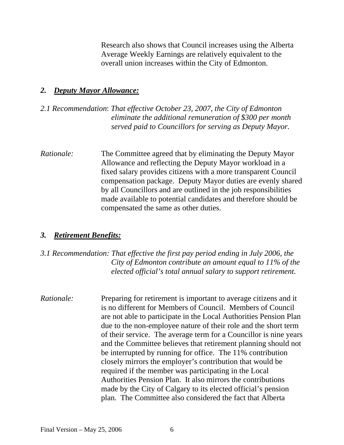Research also shows that Council increases using the Alberta Average Weekly Earnings are relatively equivalent to the overall union increases within the City of Edmonton.

#### *2. Deputy Mayor Allowance:*

## *2.1 Recommendation*: *That effective October 23, 2007, the City of Edmonton eliminate the additional remuneration of \$300 per month served paid to Councillors for serving as Deputy Mayor.*

*Rationale:* The Committee agreed that by eliminating the Deputy Mayor Allowance and reflecting the Deputy Mayor workload in a fixed salary provides citizens with a more transparent Council compensation package. Deputy Mayor duties are evenly shared by all Councillors and are outlined in the job responsibilities made available to potential candidates and therefore should be compensated the same as other duties.

#### *3. Retirement Benefits:*

## *3.1 Recommendation: That effective the first pay period ending in July 2006, the City of Edmonton contribute an amount equal to 11% of the elected official's total annual salary to support retirement.*

*Rationale:* Preparing for retirement is important to average citizens and it is no different for Members of Council. Members of Council are not able to participate in the Local Authorities Pension Plan due to the non-employee nature of their role and the short term of their service. The average term for a Councillor is nine years and the Committee believes that retirement planning should not be interrupted by running for office. The 11% contribution closely mirrors the employer's contribution that would be required if the member was participating in the Local Authorities Pension Plan. It also mirrors the contributions made by the City of Calgary to its elected official's pension plan. The Committee also considered the fact that Alberta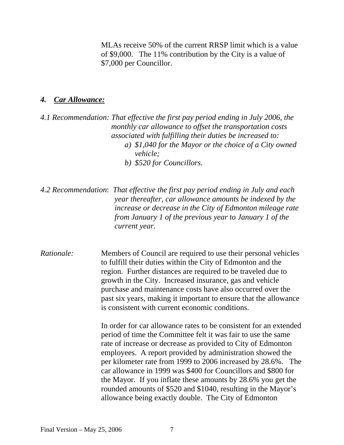MLAs receive 50% of the current RRSP limit which is a value of \$9,000. The 11% contribution by the City is a value of \$7,000 per Councillor.

#### *4. Car Allowance:*

*4.1 Recommendation: That effective the first pay period ending in July 2006, the monthly car allowance to offset the transportation costs associated with fulfilling their duties be increased to: a) \$1,040 for the Mayor or the choice of a City owned vehicle; b) \$520 for Councillors.* 

*4.2 Recommendation*: *That effective the first pay period ending in July and each year thereafter, car allowance amounts be indexed by the increase or decrease in the City of Edmonton mileage rate from January 1 of the previous year to January 1 of the current year.*

*Rationale:* Members of Council are required to use their personal vehicles to fulfill their duties within the City of Edmonton and the region. Further distances are required to be traveled due to growth in the City. Increased insurance, gas and vehicle purchase and maintenance costs have also occurred over the past six years, making it important to ensure that the allowance is consistent with current economic conditions.

> In order for car allowance rates to be consistent for an extended period of time the Committee felt it was fair to use the same rate of increase or decrease as provided to City of Edmonton employees. A report provided by administration showed the per kilometer rate from 1999 to 2006 increased by 28.6%. The car allowance in 1999 was \$400 for Councillors and \$800 for the Mayor. If you inflate these amounts by 28.6% you get the rounded amounts of \$520 and \$1040, resulting in the Mayor's allowance being exactly double. The City of Edmonton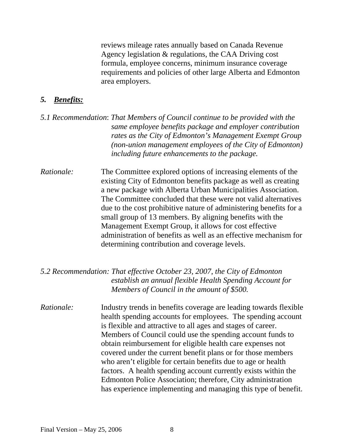reviews mileage rates annually based on Canada Revenue Agency legislation & regulations, the CAA Driving cost formula, employee concerns, minimum insurance coverage requirements and policies of other large Alberta and Edmonton area employers.

#### *5. Benefits:*

- *5.1 Recommendation*: *That Members of Council continue to be provided with the same employee benefits package and employer contribution rates as the City of Edmonton's Management Exempt Group (non-union management employees of the City of Edmonton) including future enhancements to the package.*
- *Rationale:* The Committee explored options of increasing elements of the existing City of Edmonton benefits package as well as creating a new package with Alberta Urban Municipalities Association. The Committee concluded that these were not valid alternatives due to the cost prohibitive nature of administering benefits for a small group of 13 members. By aligning benefits with the Management Exempt Group, it allows for cost effective administration of benefits as well as an effective mechanism for determining contribution and coverage levels.

#### *5.2 Recommendation: That effective October 23, 2007, the City of Edmonton establish an annual flexible Health Spending Account for Members of Council in the amount of \$500.*

*Rationale:* Industry trends in benefits coverage are leading towards flexible health spending accounts for employees. The spending account is flexible and attractive to all ages and stages of career. Members of Council could use the spending account funds to obtain reimbursement for eligible health care expenses not covered under the current benefit plans or for those members who aren't eligible for certain benefits due to age or health factors. A health spending account currently exists within the Edmonton Police Association; therefore, City administration has experience implementing and managing this type of benefit.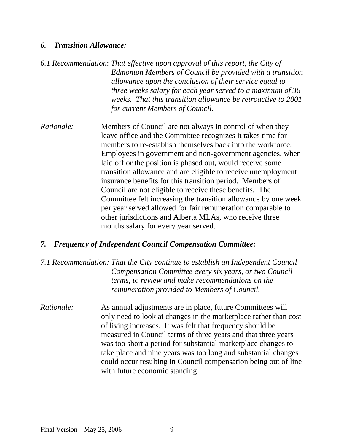#### *6. Transition Allowance:*

- *6.1 Recommendation*: *That effective upon approval of this report, the City of Edmonton Members of Council be provided with a transition allowance upon the conclusion of their service equal to three weeks salary for each year served to a maximum of 36 weeks. That this transition allowance be retroactive to 2001 for current Members of Council.*
- *Rationale:* Members of Council are not always in control of when they leave office and the Committee recognizes it takes time for members to re-establish themselves back into the workforce. Employees in government and non-government agencies, when laid off or the position is phased out, would receive some transition allowance and are eligible to receive unemployment insurance benefits for this transition period. Members of Council are not eligible to receive these benefits. The Committee felt increasing the transition allowance by one week per year served allowed for fair remuneration comparable to other jurisdictions and Alberta MLAs, who receive three months salary for every year served.

#### *7. Frequency of Independent Council Compensation Committee:*

## *7.1 Recommendation: That the City continue to establish an Independent Council Compensation Committee every six years, or two Council terms, to review and make recommendations on the remuneration provided to Members of Council.*

*Rationale:* As annual adjustments are in place, future Committees will only need to look at changes in the marketplace rather than cost of living increases. It was felt that frequency should be measured in Council terms of three years and that three years was too short a period for substantial marketplace changes to take place and nine years was too long and substantial changes could occur resulting in Council compensation being out of line with future economic standing.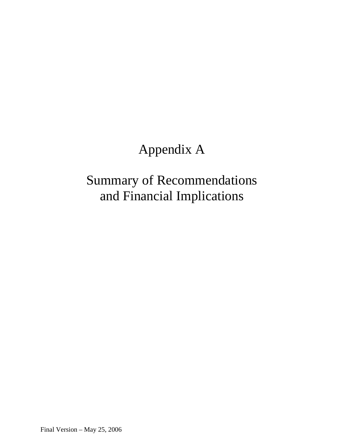# Appendix A

# Summary of Recommendations and Financial Implications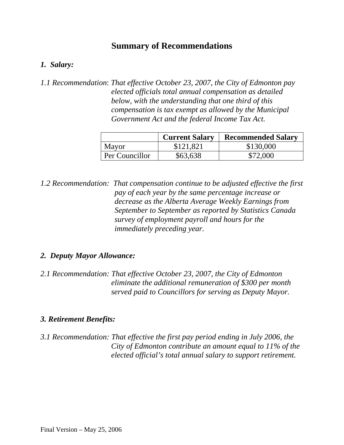# **Summary of Recommendations**

## *1. Salary:*

*1.1 Recommendation*: *That effective October 23, 2007, the City of Edmonton pay elected officials total annual compensation as detailed below, with the understanding that one third of this compensation is tax exempt as allowed by the Municipal Government Act and the federal Income Tax Act.*

|                | <b>Current Salary</b> | <b>Recommended Salary</b> |
|----------------|-----------------------|---------------------------|
| Mayor          | \$121,821             | \$130,000                 |
| Per Councillor | \$63,638              | \$72,000                  |

*1.2 Recommendation: That compensation continue to be adjusted effective the first pay of each year by the same percentage increase or decrease as the Alberta Average Weekly Earnings from September to September as reported by Statistics Canada survey of employment payroll and hours for the immediately preceding year.*

#### *2. Deputy Mayor Allowance:*

*2.1 Recommendation: That effective October 23, 2007, the City of Edmonton eliminate the additional remuneration of \$300 per month served paid to Councillors for serving as Deputy Mayor.*

#### *3. Retirement Benefits:*

*3.1 Recommendation: That effective the first pay period ending in July 2006, the City of Edmonton contribute an amount equal to 11% of the elected official's total annual salary to support retirement.*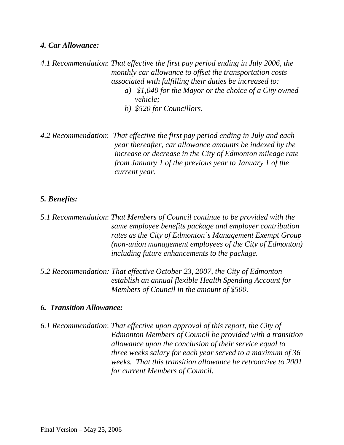#### *4. Car Allowance:*

*4.1 Recommendation*: *That effective the first pay period ending in July 2006, the monthly car allowance to offset the transportation costs associated with fulfilling their duties be increased to: a) \$1,040 for the Mayor or the choice of a City owned vehicle;* 

*b) \$520 for Councillors.* 

*4.2 Recommendation*: *That effective the first pay period ending in July and each year thereafter, car allowance amounts be indexed by the increase or decrease in the City of Edmonton mileage rate from January 1 of the previous year to January 1 of the current year.*

#### *5. Benefits:*

*5.1 Recommendation*: *That Members of Council continue to be provided with the same employee benefits package and employer contribution rates as the City of Edmonton's Management Exempt Group (non-union management employees of the City of Edmonton) including future enhancements to the package.*

*5.2 Recommendation: That effective October 23, 2007, the City of Edmonton establish an annual flexible Health Spending Account for Members of Council in the amount of \$500.*

#### *6. Transition Allowance:*

*6.1 Recommendation*: *That effective upon approval of this report, the City of Edmonton Members of Council be provided with a transition allowance upon the conclusion of their service equal to three weeks salary for each year served to a maximum of 36 weeks. That this transition allowance be retroactive to 2001 for current Members of Council.*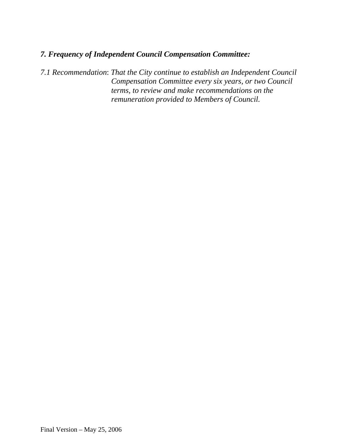# *7. Frequency of Independent Council Compensation Committee:*

*7.1 Recommendation*: *That the City continue to establish an Independent Council Compensation Committee every six years, or two Council terms, to review and make recommendations on the remuneration provided to Members of Council.*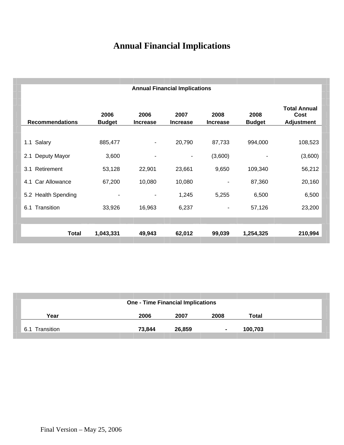# **Annual Financial Implications**

| <b>Annual Financial Implications</b> |                       |                         |                         |                         |                       |                                                  |
|--------------------------------------|-----------------------|-------------------------|-------------------------|-------------------------|-----------------------|--------------------------------------------------|
| <b>Recommendations</b>               | 2006<br><b>Budget</b> | 2006<br><b>Increase</b> | 2007<br><b>Increase</b> | 2008<br><b>Increase</b> | 2008<br><b>Budget</b> | <b>Total Annual</b><br>Cost<br><b>Adjustment</b> |
| Salary                               | 885,477               |                         | 20,790                  | 87,733                  | 994,000               |                                                  |
| 1.1<br>Deputy Mayor<br>2.1           | 3,600                 | ۰<br>۰                  | ۰                       | (3,600)                 | -                     | 108,523<br>(3,600)                               |
| Retirement<br>3.1                    | 53,128                | 22,901                  | 23,661                  | 9,650                   | 109,340               | 56,212                                           |
| Car Allowance<br>4.1                 | 67,200                | 10,080                  | 10,080                  |                         | 87,360                | 20,160                                           |
| 5.2 Health Spending                  |                       | -                       | 1,245                   | 5,255                   | 6,500                 | 6,500                                            |
| Transition<br>6.1                    | 33,926                | 16,963                  | 6,237                   | $\overline{a}$          | 57,126                | 23,200                                           |
|                                      |                       |                         |                         |                         |                       |                                                  |
| <b>Total</b>                         | 1,043,331             | 49,943                  | 62,012                  | 99,039                  | 1,254,325             | 210,994                                          |

|                   | <b>One - Time Financial Implications</b> |        |                |         |
|-------------------|------------------------------------------|--------|----------------|---------|
| Year              | 2006                                     | 2007   | 2008           | Total   |
| Transition<br>6.1 | 73,844                                   | 26,859 | $\blacksquare$ | 100,703 |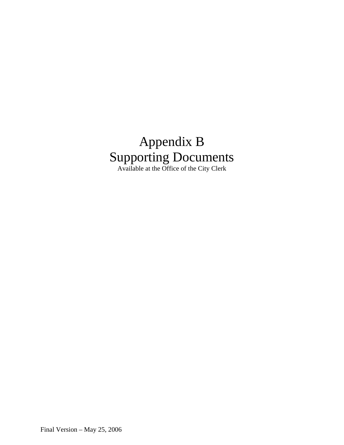# Appendix B Supporting Documents Available at the Office of the City Clerk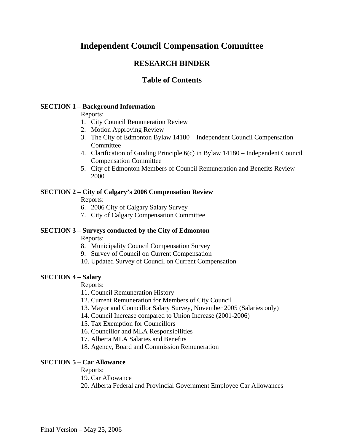# **Independent Council Compensation Committee**

# **RESEARCH BINDER**

# **Table of Contents**

#### **SECTION 1 – Background Information**

Reports:

- 1. City Council Remuneration Review
- 2. Motion Approving Review
- 3. The City of Edmonton Bylaw 14180 Independent Council Compensation **Committee**
- 4. Clarification of Guiding Principle 6(c) in Bylaw 14180 Independent Council Compensation Committee
- 5. City of Edmonton Members of Council Remuneration and Benefits Review 2000

#### **SECTION 2 – City of Calgary's 2006 Compensation Review**

Reports:

- 6. 2006 City of Calgary Salary Survey
- 7. City of Calgary Compensation Committee

#### **SECTION 3 – Surveys conducted by the City of Edmonton**

Reports:

- 8. Municipality Council Compensation Survey
- 9. Survey of Council on Current Compensation
- 10. Updated Survey of Council on Current Compensation

#### **SECTION 4 – Salary**

Reports:

- 11. Council Remuneration History
- 12. Current Remuneration for Members of City Council
- 13. Mayor and Councillor Salary Survey, November 2005 (Salaries only)
- 14. Council Increase compared to Union Increase (2001-2006)
- 15. Tax Exemption for Councillors
- 16. Councillor and MLA Responsibilities
- 17. Alberta MLA Salaries and Benefits
- 18. Agency, Board and Commission Remuneration

#### **SECTION 5 – Car Allowance**

#### Reports:

19. Car Allowance

20. Alberta Federal and Provincial Government Employee Car Allowances